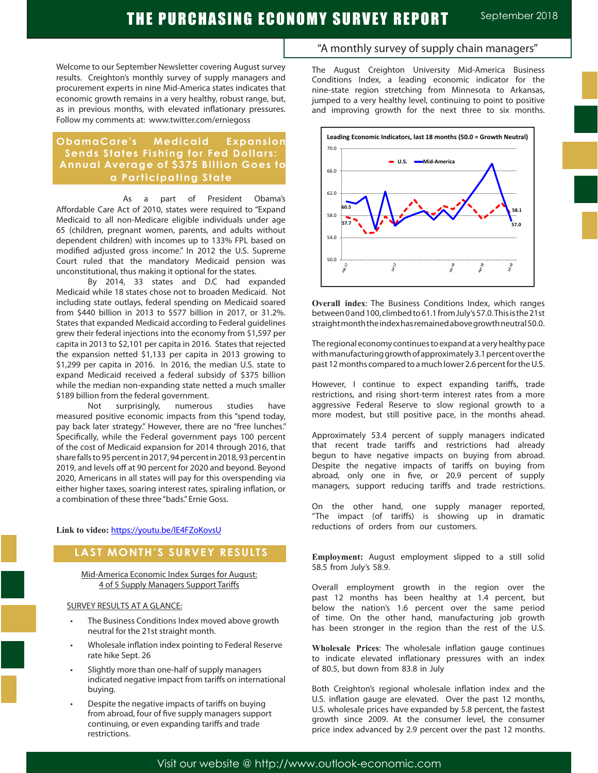# THE PURCHASING ECONOMY SURVEY REPORT September 2018

Welcome to our September Newsletter covering August survey results. Creighton's monthly survey of supply managers and procurement experts in nine Mid-America states indicates that economic growth remains in a very healthy, robust range, but, as in previous months, with elevated inflationary pressures. Follow my comments at: www.twitter.com/erniegoss

### **ObamaCare's Medicaid Expansion Sends States Fishing for Fed Dollars: Annual Average of \$375 Billion Goes to a Participating State**

 As a part of President Obama's Affordable Care Act of 2010, states were required to "Expand Medicaid to all non-Medicare eligible individuals under age 65 (children, pregnant women, parents, and adults without dependent children) with incomes up to 133% FPL based on modified adjusted gross income." In 2012 the U.S. Supreme Court ruled that the mandatory Medicaid pension was unconstitutional, thus making it optional for the states.

By 2014, 33 states and D.C had expanded Medicaid while 18 states chose not to broaden Medicaid. Not including state outlays, federal spending on Medicaid soared from \$440 billion in 2013 to \$577 billion in 2017, or 31.2%. States that expanded Medicaid according to Federal guidelines grew their federal injections into the economy from \$1,597 per capita in 2013 to \$2,101 per capita in 2016. States that rejected the expansion netted \$1,133 per capita in 2013 growing to \$1,299 per capita in 2016. In 2016, the median U.S. state to expand Medicaid received a federal subsidy of \$375 billion while the median non-expanding state netted a much smaller \$189 billion from the federal government.

Not surprisingly, numerous studies have measured positive economic impacts from this "spend today, pay back later strategy." However, there are no "free lunches." Specifically, while the Federal government pays 100 percent of the cost of Medicaid expansion for 2014 through 2016, that share falls to 95 percent in 2017, 94 percent in 2018, 93 percent in 2019, and levels off at 90 percent for 2020 and beyond. Beyond 2020, Americans in all states will pay for this overspending via either higher taxes, soaring interest rates, spiraling inflation, or a combination of these three "bads." Ernie Goss.

**Link to video:** https://youtu.be/lE4FZoKovsU

# **LAST MONTH'S SURVEY RESULTS**

Mid-America Economic Index Surges for August: 4 of 5 Supply Managers Support Tariffs

### SURVEY RESULTS AT A GLANCE:

- The Business Conditions Index moved above growth neutral for the 21st straight month.
- Wholesale inflation index pointing to Federal Reserve rate hike Sept. 26
- Slightly more than one-half of supply managers indicated negative impact from tariffs on international buying.
- Despite the negative impacts of tariffs on buying from abroad, four of five supply managers support continuing, or even expanding tariffs and trade restrictions.

### "A monthly survey of supply chain managers"

The August Creighton University Mid-America Business Conditions Index, a leading economic indicator for the nine-state region stretching from Minnesota to Arkansas, jumped to a very healthy level, continuing to point to positive and improving growth for the next three to six months.



**Overall index**: The Business Conditions Index, which ranges between 0 and 100, climbed to 61.1 from July's 57.0. This is the 21st straight month the index has remained above growth neutral 50.0.

The regional economy continues to expand at a very healthy pace with manufacturing growth of approximately 3.1 percent over the past 12 months compared to a much lower 2.6 percent for the U.S.

However, I continue to expect expanding tariffs, trade restrictions, and rising short-term interest rates from a more aggressive Federal Reserve to slow regional growth to a more modest, but still positive pace, in the months ahead.

Approximately 53.4 percent of supply managers indicated that recent trade tariffs and restrictions had already begun to have negative impacts on buying from abroad. Despite the negative impacts of tariffs on buying from abroad, only one in five, or 20.9 percent of supply managers, support reducing tariffs and trade restrictions.

On the other hand, one supply manager reported, "The impact (of tariffs) is showing up in dramatic reductions of orders from our customers.

**Employment:** August employment slipped to a still solid 58.5 from July's 58.9. .

Overall employment growth in the region over the past 12 months has been healthy at 1.4 percent, but below the nation's 1.6 percent over the same period of time. On the other hand, manufacturing job growth has been stronger in the region than the rest of the U.S.

**Wholesale Prices**: The wholesale inflation gauge continues to indicate elevated inflationary pressures with an index of 80.5, but down from 83.8 in July .

Both Creighton's regional wholesale inflation index and the U.S. inflation gauge are elevated. Over the past 12 months, U.S. wholesale prices have expanded by 5.8 percent, the fastest growth since 2009. At the consumer level, the consumer price index advanced by 2.9 percent over the past 12 months.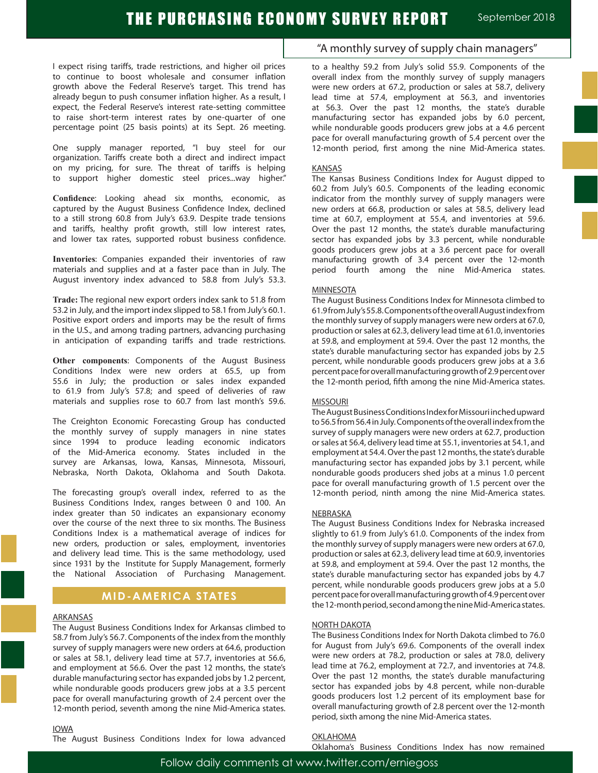I expect rising tariffs, trade restrictions, and higher oil prices to continue to boost wholesale and consumer inflation growth above the Federal Reserve's target. This trend has already begun to push consumer inflation higher. As a result, I expect, the Federal Reserve's interest rate-setting committee to raise short-term interest rates by one-quarter of one percentage point (25 basis points) at its Sept. 26 meeting.

One supply manager reported, "I buy steel for our organization. Tariffs create both a direct and indirect impact on my pricing, for sure. The threat of tariffs is helping to support higher domestic steel prices...way higher."

**Confidence**: Looking ahead six months, economic, as captured by the August Business Confidence Index, declined to a still strong 60.8 from July's 63.9. Despite trade tensions and tariffs, healthy profit growth, still low interest rates, and lower tax rates, supported robust business confidence.

**Inventories**: Companies expanded their inventories of raw materials and supplies and at a faster pace than in July. The August inventory index advanced to 58.8 from July's 53.3.

**Trade:** The regional new export orders index sank to 51.8 from 53.2 in July, and the import index slipped to 58.1 from July's 60.1. Positive export orders and imports may be the result of firms in the U.S., and among trading partners, advancing purchasing in anticipation of expanding tariffs and trade restrictions.

**Other components**: Components of the August Business Conditions Index were new orders at 65.5, up from 55.6 in July; the production or sales index expanded to 61.9 from July's 57.8; and speed of deliveries of raw materials and supplies rose to 60.7 from last month's 59.6.

The Creighton Economic Forecasting Group has conducted the monthly survey of supply managers in nine states since 1994 to produce leading economic indicators of the Mid-America economy. States included in the survey are Arkansas, Iowa, Kansas, Minnesota, Missouri, Nebraska, North Dakota, Oklahoma and South Dakota.

The forecasting group's overall index, referred to as the Business Conditions Index, ranges between 0 and 100. An index greater than 50 indicates an expansionary economy over the course of the next three to six months. The Business Conditions Index is a mathematical average of indices for new orders, production or sales, employment, inventories and delivery lead time. This is the same methodology, used since 1931 by the Institute for Supply Management, formerly the National Association of Purchasing Management.

### **MID-AMERICA STATES**

#### **ARKANSAS**

The August Business Conditions Index for Arkansas climbed to 58.7 from July's 56.7. Components of the index from the monthly survey of supply managers were new orders at 64.6, production or sales at 58.1, delivery lead time at 57.7, inventories at 56.6, and employment at 56.6. Over the past 12 months, the state's durable manufacturing sector has expanded jobs by 1.2 percent, while nondurable goods producers grew jobs at a 3.5 percent pace for overall manufacturing growth of 2.4 percent over the 12-month period, seventh among the nine Mid-America states.

# "A monthly survey of supply chain managers"

to a healthy 59.2 from July's solid 55.9. Components of the overall index from the monthly survey of supply managers were new orders at 67.2, production or sales at 58.7, delivery lead time at 57.4, employment at 56.3, and inventories at 56.3. Over the past 12 months, the state's durable manufacturing sector has expanded jobs by 6.0 percent, while nondurable goods producers grew jobs at a 4.6 percent pace for overall manufacturing growth of 5.4 percent over the 12-month period, first among the nine Mid-America states.

#### KANSAS

The Kansas Business Conditions Index for August dipped to 60.2 from July's 60.5. Components of the leading economic indicator from the monthly survey of supply managers were new orders at 66.8, production or sales at 58.5, delivery lead time at 60.7, employment at 55.4, and inventories at 59.6. Over the past 12 months, the state's durable manufacturing sector has expanded jobs by 3.3 percent, while nondurable goods producers grew jobs at a 3.6 percent pace for overall manufacturing growth of 3.4 percent over the 12-month period fourth among the nine Mid-America states.

#### **MINNESOTA**

The August Business Conditions Index for Minnesota climbed to 61.9 from July's 55.8. Components of the overall August index from the monthly survey of supply managers were new orders at 67.0, production or sales at 62.3, delivery lead time at 61.0, inventories at 59.8, and employment at 59.4. Over the past 12 months, the state's durable manufacturing sector has expanded jobs by 2.5 percent, while nondurable goods producers grew jobs at a 3.6 percent pace for overall manufacturing growth of 2.9 percent over the 12-month period, fifth among the nine Mid-America states.

#### MISSOURI

The August Business Conditions Index for Missouri inched upward to 56.5 from 56.4 in July. Components of the overall index from the survey of supply managers were new orders at 62.7, production or sales at 56.4, delivery lead time at 55.1, inventories at 54.1, and employment at 54.4. Over the past 12 months, the state's durable manufacturing sector has expanded jobs by 3.1 percent, while nondurable goods producers shed jobs at a minus 1.0 percent pace for overall manufacturing growth of 1.5 percent over the 12-month period, ninth among the nine Mid-America states.

#### NEBRASKA

The August Business Conditions Index for Nebraska increased slightly to 61.9 from July's 61.0. Components of the index from the monthly survey of supply managers were new orders at 67.0, production or sales at 62.3, delivery lead time at 60.9, inventories at 59.8, and employment at 59.4. Over the past 12 months, the state's durable manufacturing sector has expanded jobs by 4.7 percent, while nondurable goods producers grew jobs at a 5.0 percent pace for overall manufacturing growth of 4.9 percent over the 12-month period, second among the nine Mid-America states.

#### NORTH DAKOTA

The Business Conditions Index for North Dakota climbed to 76.0 for August from July's 69.6. Components of the overall index were new orders at 78.2, production or sales at 78.0, delivery lead time at 76.2, employment at 72.7, and inventories at 74.8. Over the past 12 months, the state's durable manufacturing sector has expanded jobs by 4.8 percent, while non-durable goods producers lost 1.2 percent of its employment base for overall manufacturing growth of 2.8 percent over the 12-month period, sixth among the nine Mid-America states.

#### IOWA

The August Business Conditions Index for Iowa advanced

OKLAHOMA

Oklahoma's Business Conditions Index has now remained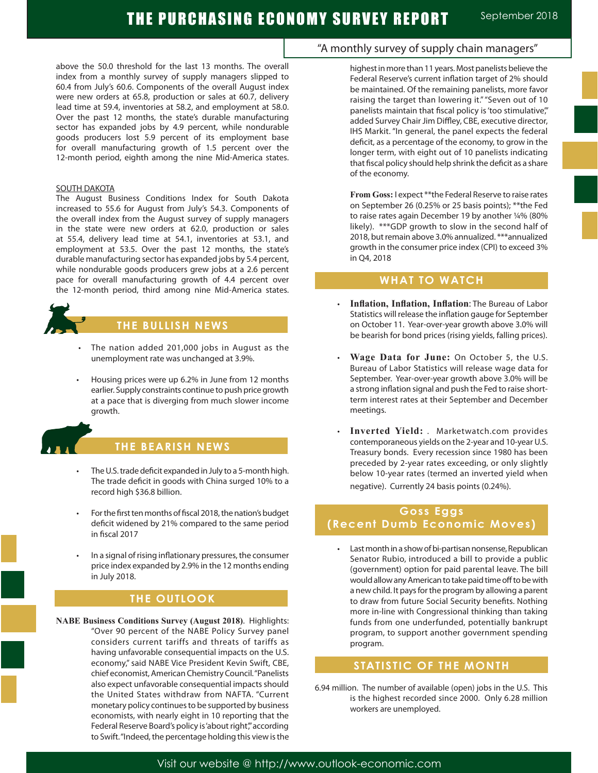Ĩ

above the 50.0 threshold for the last 13 months. The overall index from a monthly survey of supply managers slipped to 60.4 from July's 60.6. Components of the overall August index were new orders at 65.8, production or sales at 60.7, delivery lead time at 59.4, inventories at 58.2, and employment at 58.0. Over the past 12 months, the state's durable manufacturing sector has expanded jobs by 4.9 percent, while nondurable goods producers lost 5.9 percent of its employment base for overall manufacturing growth of 1.5 percent over the 12-month period, eighth among the nine Mid-America states.

#### SOUTH DAKOTA

The August Business Conditions Index for South Dakota increased to 55.6 for August from July's 54.3. Components of the overall index from the August survey of supply managers in the state were new orders at 62.0, production or sales at 55.4, delivery lead time at 54.1, inventories at 53.1, and employment at 53.5. Over the past 12 months, the state's durable manufacturing sector has expanded jobs by 5.4 percent, while nondurable goods producers grew jobs at a 2.6 percent pace for overall manufacturing growth of 4.4 percent over the 12-month period, third among nine Mid-America states.



# **THE BULLISH NEWS**

- The nation added 201,000 jobs in August as the unemployment rate was unchanged at 3.9%.
- Housing prices were up 6.2% in June from 12 months earlier. Supply constraints continue to push price growth at a pace that is diverging from much slower income growth.



# **THE BEARISH NEWS**

- The U.S. trade deficit expanded in July to a 5-month high. The trade deficit in goods with China surged 10% to a record high \$36.8 billion.
- For the first ten months of fiscal 2018, the nation's budget deficit widened by 21% compared to the same period in fiscal 2017
- In a signal of rising inflationary pressures, the consumer price index expanded by 2.9% in the 12 months ending in July 2018.

# **THE OUTLOOK**

**NABE Business Conditions Survey (August 2018)**. Highlights: "Over 90 percent of the NABE Policy Survey panel considers current tariffs and threats of tariffs as having unfavorable consequential impacts on the U.S. economy," said NABE Vice President Kevin Swift, CBE, chief economist, American Chemistry Council. "Panelists also expect unfavorable consequential impacts should the United States withdraw from NAFTA. "Current monetary policy continues to be supported by business economists, with nearly eight in 10 reporting that the Federal Reserve Board's policy is 'about right'," according to Swift. "Indeed, the percentage holding this view is the

# "A monthly survey of supply chain managers"

highest in more than 11 years. Most panelists believe the Federal Reserve's current inflation target of 2% should be maintained. Of the remaining panelists, more favor raising the target than lowering it." "Seven out of 10 panelists maintain that fiscal policy is 'too stimulative", added Survey Chair Jim Diffley, CBE, executive director, IHS Markit. "In general, the panel expects the federal deficit, as a percentage of the economy, to grow in the longer term, with eight out of 10 panelists indicating that fiscal policy should help shrink the deficit as a share of the economy.

**From Goss:** I expect \*\*the Federal Reserve to raise rates on September 26 (0.25% or 25 basis points); \*\*the Fed to raise rates again December 19 by another ¼% (80% likely). \*\*\*GDP growth to slow in the second half of 2018, but remain above 3.0% annualized. \*\*\*annualized growth in the consumer price index (CPI) to exceed 3% in Q4, 2018

### **WHAT TO WATCH**

- **Inflation, Inflation, Inflation:** The Bureau of Labor Statistics will release the inflation gauge for September on October 11. Year-over-year growth above 3.0% will be bearish for bond prices (rising yields, falling prices).
- **Wage Data for June:** On October 5, the U.S. Bureau of Labor Statistics will release wage data for September. Year-over-year growth above 3.0% will be a strong inflation signal and push the Fed to raise shortterm interest rates at their September and December meetings.
- Inverted Yield: . Marketwatch.com provides contemporaneous yields on the 2-year and 10-year U.S. Treasury bonds. Every recession since 1980 has been preceded by 2-year rates exceeding, or only slightly below 10-year rates (termed an inverted yield when negative). Currently 24 basis points (0.24%).

# **Goss Eggs (Recent Dumb Economic Moves)**

• Last month in a show of bi-partisan nonsense, Republican Senator Rubio, introduced a bill to provide a public (government) option for paid parental leave. The bill would allow any American to take paid time off to be with a new child. It pays for the program by allowing a parent to draw from future Social Security benefits. Nothing more in-line with Congressional thinking than taking funds from one underfunded, potentially bankrupt program, to support another government spending program.

# **STATISTIC OF THE MONTH**

6.94 million. The number of available (open) jobs in the U.S. This is the highest recorded since 2000. Only 6.28 million workers are unemployed.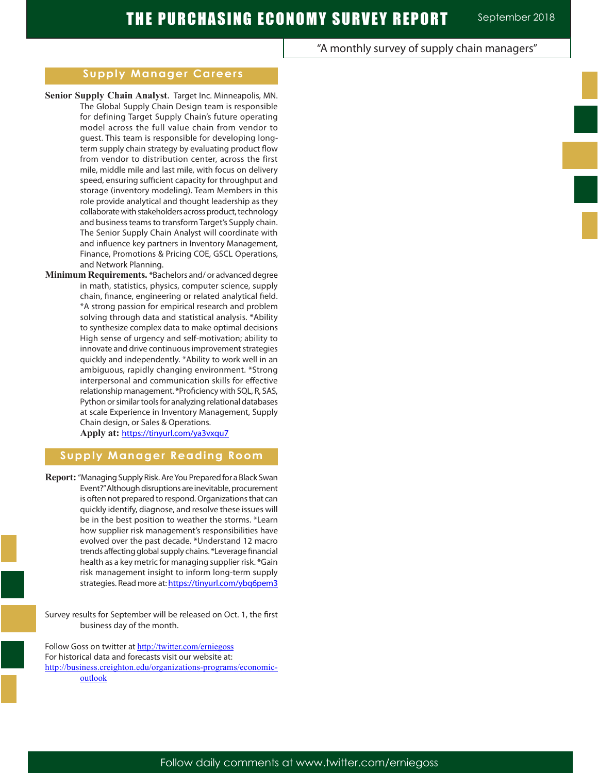### "A monthly survey of supply chain managers"

### **Supply Manager Careers**

- **Senior Supply Chain Analyst**. Target Inc. Minneapolis, MN. The Global Supply Chain Design team is responsible for defining Target Supply Chain's future operating model across the full value chain from vendor to guest. This team is responsible for developing longterm supply chain strategy by evaluating product flow from vendor to distribution center, across the first mile, middle mile and last mile, with focus on delivery speed, ensuring sufficient capacity for throughput and storage (inventory modeling). Team Members in this role provide analytical and thought leadership as they collaborate with stakeholders across product, technology and business teams to transform Target's Supply chain. The Senior Supply Chain Analyst will coordinate with and influence key partners in Inventory Management, Finance, Promotions & Pricing COE, GSCL Operations, and Network Planning.
- **Minimum Requirements.** \*Bachelors and/ or advanced degree in math, statistics, physics, computer science, supply chain, finance, engineering or related analytical field. \*A strong passion for empirical research and problem solving through data and statistical analysis. \*Ability to synthesize complex data to make optimal decisions High sense of urgency and self-motivation; ability to innovate and drive continuous improvement strategies quickly and independently. \*Ability to work well in an ambiguous, rapidly changing environment. \*Strong interpersonal and communication skills for effective relationship management. \*Proficiency with SQL, R, SAS, Python or similar tools for analyzing relational databases at scale Experience in Inventory Management, Supply Chain design, or Sales & Operations.

**Apply at:** https://tinyurl.com/ya3vxqu7

### **Supply Manager Reading Room**

- **Report:** "Managing Supply Risk. Are You Prepared for a Black Swan Event?" Although disruptions are inevitable, procurement is often not prepared to respond. Organizations that can quickly identify, diagnose, and resolve these issues will be in the best position to weather the storms. \*Learn how supplier risk management's responsibilities have evolved over the past decade. \*Understand 12 macro trends affecting global supply chains. \*Leverage financial health as a key metric for managing supplier risk. \*Gain risk management insight to inform long-term supply strategies. Read more at: https://tinyurl.com/ybq6pem3
- Survey results for September will be released on Oct. 1, the first business day of the month.

Follow Goss on twitter at http://twitter.com/erniegoss For historical data and forecasts visit our website at: http://business.creighton.edu/organizations-programs/economicoutlook